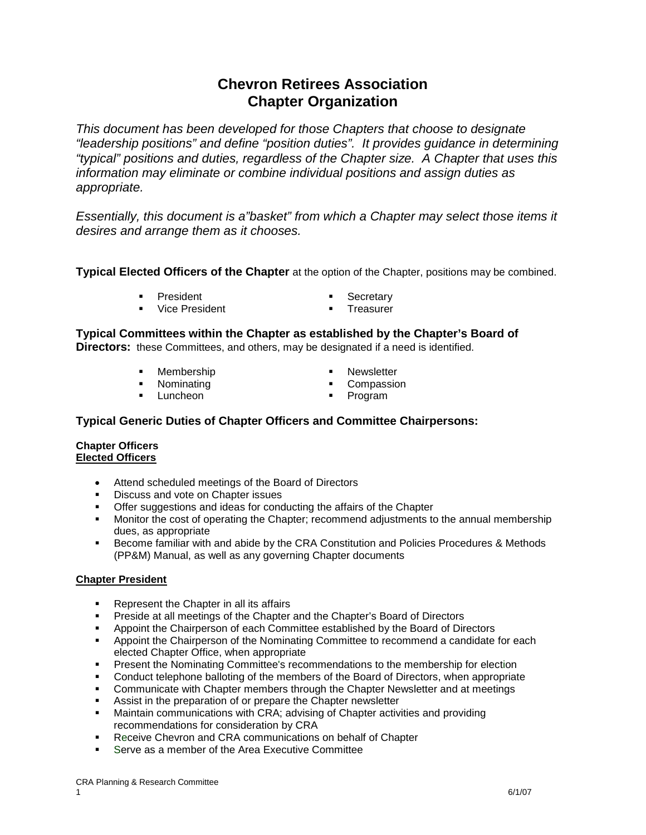# **Chevron Retirees Association Chapter Organization**

*This document has been developed for those Chapters that choose to designate "leadership positions" and define "position duties". It provides guidance in determining "typical" positions and duties, regardless of the Chapter size. A Chapter that uses this information may eliminate or combine individual positions and assign duties as appropriate.*

*Essentially, this document is a"basket" from which a Chapter may select those items it desires and arrange them as it chooses.*

**Typical Elected Officers of the Chapter** at the option of the Chapter, positions may be combined.

- **President Contract Contract Contract President Contract President** 
	-
- Vice President 
Treasurer
- 

**Typical Committees within the Chapter as established by the Chapter's Board of** 

**Directors:** these Committees, and others, may be designated if a need is identified.

- 
- 
- **-** Luncheon
- Membership **Newsletter Newsletter**
- **Nominating The Compassion**<br> **Luncheon Example 2 19 and 19 and 19 and 19 and 19 and 19 and 19 and 19 and 19 and 19 and 19 and 19 and 19 and 19 and 19 and 19 and 19 and 19 and 19 and 19 and 19 and 19 and 19 and 19 and 19** 
	-

# **Typical Generic Duties of Chapter Officers and Committee Chairpersons:**

#### **Chapter Officers Elected Officers**

- Attend scheduled meetings of the Board of Directors
- **Discuss and vote on Chapter issues**
- **Offer suggestions and ideas for conducting the affairs of the Chapter**
- **Monitor the cost of operating the Chapter; recommend adjustments to the annual membership** dues, as appropriate
- Become familiar with and abide by the CRA Constitution and Policies Procedures & Methods (PP&M) Manual, as well as any governing Chapter documents

## **Chapter President**

- **Represent the Chapter in all its affairs**
- **Preside at all meetings of the Chapter and the Chapter's Board of Directors**
- Appoint the Chairperson of each Committee established by the Board of Directors
- **Appoint the Chairperson of the Nominating Committee to recommend a candidate for each** elected Chapter Office, when appropriate
- **Present the Nominating Committee's recommendations to the membership for election**
- **Conduct telephone balloting of the members of the Board of Directors, when appropriate**
- Communicate with Chapter members through the Chapter Newsletter and at meetings
- Assist in the preparation of or prepare the Chapter newsletter
- Maintain communications with CRA; advising of Chapter activities and providing recommendations for consideration by CRA
- **Receive Chevron and CRA communications on behalf of Chapter**
- Serve as a member of the Area Executive Committee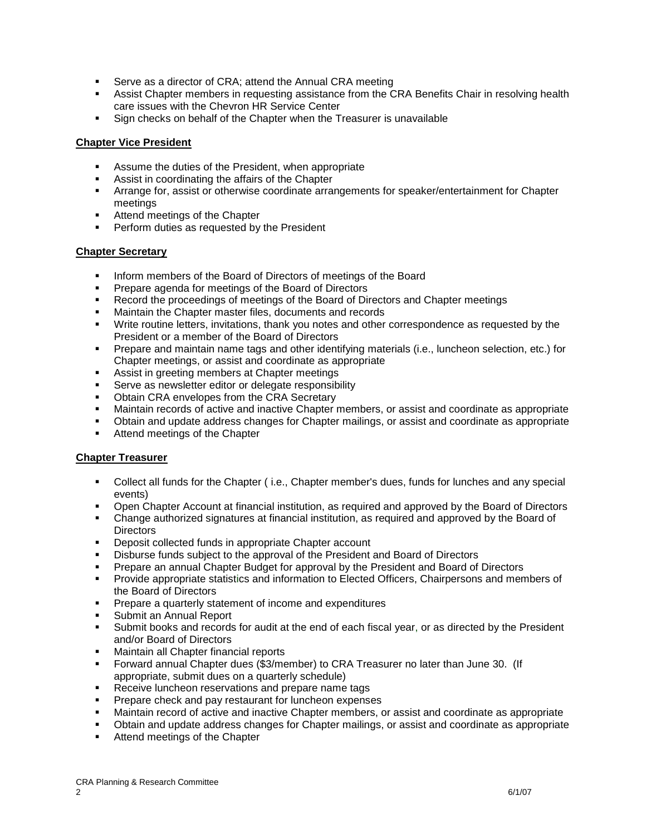- **Serve as a director of CRA; attend the Annual CRA meeting**
- Assist Chapter members in requesting assistance from the CRA Benefits Chair in resolving health care issues with the Chevron HR Service Center
- Sign checks on behalf of the Chapter when the Treasurer is unavailable

## **Chapter Vice President**

- Assume the duties of the President, when appropriate
- Assist in coordinating the affairs of the Chapter
- Arrange for, assist or otherwise coordinate arrangements for speaker/entertainment for Chapter meetings
- **Attend meetings of the Chapter**
- Perform duties as requested by the President

#### **Chapter Secretary**

- **Inform members of the Board of Directors of meetings of the Board**
- **Prepare agenda for meetings of the Board of Directors**
- Record the proceedings of meetings of the Board of Directors and Chapter meetings
- **Maintain the Chapter master files, documents and records**
- Write routine letters, invitations, thank you notes and other correspondence as requested by the President or a member of the Board of Directors
- Prepare and maintain name tags and other identifying materials (i.e., luncheon selection, etc.) for Chapter meetings, or assist and coordinate as appropriate
- Assist in greeting members at Chapter meetings
- **Serve as newsletter editor or delegate responsibility**
- Obtain CRA envelopes from the CRA Secretary
- Maintain records of active and inactive Chapter members, or assist and coordinate as appropriate
- Obtain and update address changes for Chapter mailings, or assist and coordinate as appropriate
- Attend meetings of the Chapter

#### **Chapter Treasurer**

- Collect all funds for the Chapter ( i.e., Chapter member's dues, funds for lunches and any special events)
- Open Chapter Account at financial institution, as required and approved by the Board of Directors
- Change authorized signatures at financial institution, as required and approved by the Board of **Directors**
- **•** Deposit collected funds in appropriate Chapter account
- Disburse funds subject to the approval of the President and Board of Directors
- **Prepare an annual Chapter Budget for approval by the President and Board of Directors**
- **Provide appropriate statistics and information to Elected Officers, Chairpersons and members of** the Board of Directors
- **Prepare a quarterly statement of income and expenditures**
- Submit an Annual Report
- Submit books and records for audit at the end of each fiscal year, or as directed by the President and/or Board of Directors
- Maintain all Chapter financial reports
- Forward annual Chapter dues (\$3/member) to CRA Treasurer no later than June 30. (If appropriate, submit dues on a quarterly schedule)
- **Receive luncheon reservations and prepare name tags**
- **Prepare check and pay restaurant for luncheon expenses**
- Maintain record of active and inactive Chapter members, or assist and coordinate as appropriate
- Obtain and update address changes for Chapter mailings, or assist and coordinate as appropriate<br>• Attend meetings of the Chapter
- Attend meetings of the Chapter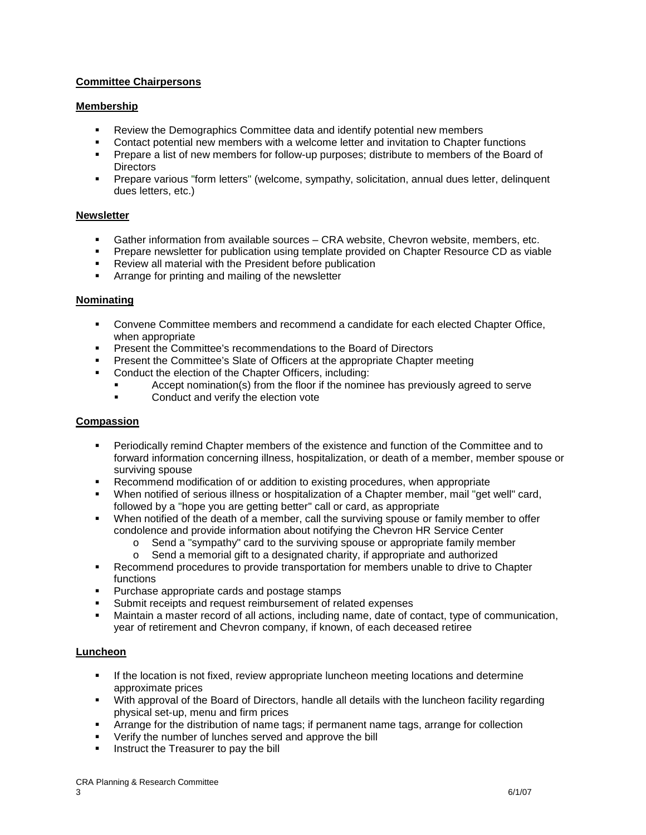# **Committee Chairpersons**

## **Membership**

- Review the Demographics Committee data and identify potential new members
- Contact potential new members with a welcome letter and invitation to Chapter functions
- Prepare a list of new members for follow-up purposes; distribute to members of the Board of **Directors**
- Prepare various "form letters" (welcome, sympathy, solicitation, annual dues letter, delinquent dues letters, etc.)

#### **Newsletter**

- Gather information from available sources CRA website, Chevron website, members, etc.
- Prepare newsletter for publication using template provided on Chapter Resource CD as viable
- Review all material with the President before publication
- **EXEC** Arrange for printing and mailing of the newsletter

#### **Nominating**

- Convene Committee members and recommend a candidate for each elected Chapter Office, when appropriate
- **Present the Committee's recommendations to the Board of Directors**
- **Present the Committee's Slate of Officers at the appropriate Chapter meeting**
- **Conduct the election of the Chapter Officers, including:** 
	- Accept nomination(s) from the floor if the nominee has previously agreed to serve
	- **EXECONDUCT AND VERGON VIOLET CONDUCT AND VEHICLE**

## **Compassion**

- Periodically remind Chapter members of the existence and function of the Committee and to forward information concerning illness, hospitalization, or death of a member, member spouse or surviving spouse
- **Recommend modification of or addition to existing procedures, when appropriate**
- When notified of serious illness or hospitalization of a Chapter member, mail "get well" card, followed by a "hope you are getting better" call or card, as appropriate
- When notified of the death of a member, call the surviving spouse or family member to offer condolence and provide information about notifying the Chevron HR Service Center
	- o Send a "sympathy" card to the surviving spouse or appropriate family member
	- o Send a memorial gift to a designated charity, if appropriate and authorized
- **Recommend procedures to provide transportation for members unable to drive to Chapter** functions
- **Purchase appropriate cards and postage stamps**
- **Submit receipts and request reimbursement of related expenses**
- Maintain a master record of all actions, including name, date of contact, type of communication, year of retirement and Chevron company, if known, of each deceased retiree

## **Luncheon**

- **If the location is not fixed, review appropriate luncheon meeting locations and determine** approximate prices
- With approval of the Board of Directors, handle all details with the luncheon facility regarding physical set-up, menu and firm prices
- Arrange for the distribution of name tags; if permanent name tags, arrange for collection
- **•** Verify the number of lunches served and approve the bill
- Instruct the Treasurer to pay the bill